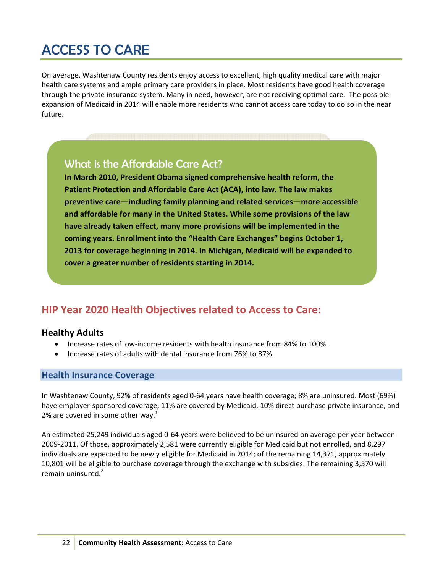# ACCESS TO CARE

On average, Washtenaw County residents enjoy access to excellent, high quality medical care with major health care systems and ample primary care providers in place. Most residents have good health coverage through the private insurance system. Many in need, however, are not receiving optimal care. The possible expansion of Medicaid in 2014 will enable more residents who cannot access care today to do so in the near future.

# What is the Affordable Care Act?

**In March 2010, President Obama signed comprehensive health reform, the Patient Protection and Affordable Care Act (ACA), into law. The law makes preventive care—including family planning and related services—more accessible and affordable for many in the United States. While some provisions of the law have already taken effect, many more provisions will be implemented in the coming years. Enrollment into the "Health Care Exchanges" begins October 1, 2013 for coverage beginning in 2014. In Michigan, Medicaid will be expanded to cover a greater number of residents starting in 2014.**

# **HIP Year 2020 Health Objectives related to Access to Care:**

## **Healthy Adults**

- Increase rates of low‐income residents with health insurance from 84% to 100%.
- Increase rates of adults with dental insurance from 76% to 87%.

#### **Health Insurance Coverage**

In Washtenaw County, 92% of residents aged 0‐64 years have health coverage; 8% are uninsured. Most (69%) have employer-sponsored coverage, 11% are covered by Medicaid, 10% direct purchase private insurance, and 2% are covered in some other way. $1$ 

An estimated 25,249 individuals aged 0‐64 years were believed to be uninsured on average per year between 2009‐2011. Of those, approximately 2,581 were currently eligible for Medicaid but not enrolled, and 8,297 individuals are expected to be newly eligible for Medicaid in 2014; of the remaining 14,371, approximately 10,801 will be eligible to purchase coverage through the exchange with subsidies. The remaining 3,570 will remain uninsured.<sup>2</sup>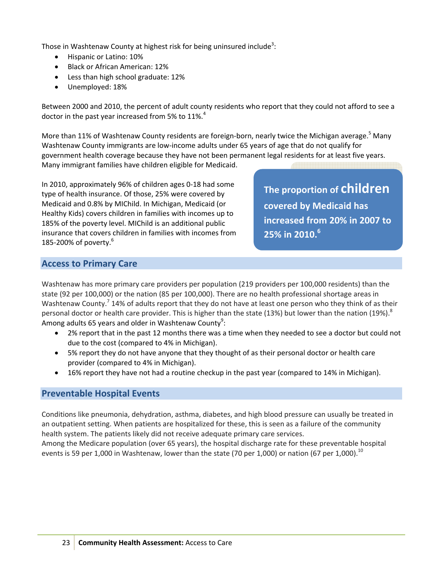Those in Washtenaw County at highest risk for being uninsured include<sup>3</sup>:

- Hispanic or Latino: 10%
- Black or African American: 12%
- Less than high school graduate: 12%
- Unemployed: 18%

Between 2000 and 2010, the percent of adult county residents who report that they could not afford to see a doctor in the past year increased from 5% to 11%.<sup>4</sup>

More than 11% of Washtenaw County residents are foreign-born, nearly twice the Michigan average.<sup>5</sup> Many Washtenaw County immigrants are low‐income adults under 65 years of age that do not qualify for government health coverage because they have not been permanent legal residents for at least five years. Many immigrant families have children eligible for Medicaid.

In 2010, approximately 96% of children ages 0‐18 had some type of health insurance. Of those, 25% were covered by Medicaid and 0.8% by MIChild. In Michigan, Medicaid (or Healthy Kids) covers children in families with incomes up to 185% of the poverty level. MIChild is an additional public insurance that covers children in families with incomes from 185-200% of poverty.<sup>6</sup>

**The proportion of children covered by Medicaid has increased from 20% in 2007 to 25% in 2010.6**

### **Access to Primary Care**

Washtenaw has more primary care providers per population (219 providers per 100,000 residents) than the state (92 per 100,000) or the nation (85 per 100,000). There are no health professional shortage areas in Washtenaw County.<sup>7</sup> 14% of adults report that they do not have at least one person who they think of as their personal doctor or health care provider. This is higher than the state (13%) but lower than the nation (19%).<sup>8</sup> Among adults 65 years and older in Washtenaw County<sup>9</sup>:

- 2% report that in the past 12 months there was a time when they needed to see a doctor but could not due to the cost (compared to 4% in Michigan).
- 5% report they do not have anyone that they thought of as their personal doctor or health care provider (compared to 4% in Michigan).
- 16% report they have not had a routine checkup in the past year (compared to 14% in Michigan).

## **Preventable Hospital Events**

Conditions like pneumonia, dehydration, asthma, diabetes, and high blood pressure can usually be treated in an outpatient setting. When patients are hospitalized for these, this is seen as a failure of the community health system. The patients likely did not receive adequate primary care services.

Among the Medicare population (over 65 years), the hospital discharge rate for these preventable hospital events is 59 per 1,000 in Washtenaw, lower than the state (70 per 1,000) or nation (67 per 1,000).<sup>10</sup>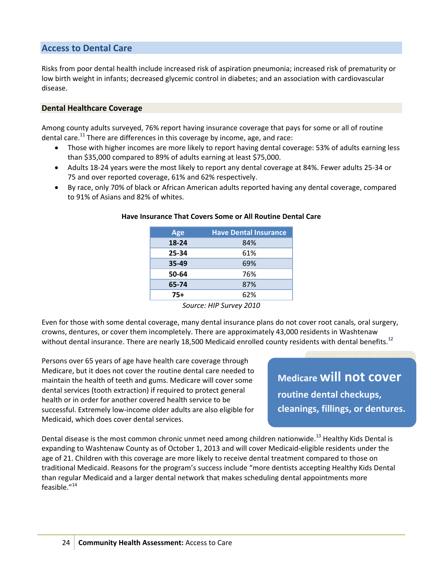# **Access to Dental Care**

Risks from poor dental health include increased risk of aspiration pneumonia; increased risk of prematurity or low birth weight in infants; decreased glycemic control in diabetes; and an association with cardiovascular disease.

#### **Dental Healthcare Coverage**

Among county adults surveyed, 76% report having insurance coverage that pays for some or all of routine dental care.<sup>11</sup> There are differences in this coverage by income, age, and race:

- Those with higher incomes are more likely to report having dental coverage: 53% of adults earning less than \$35,000 compared to 89% of adults earning at least \$75,000.
- Adults 18‐24 years were the most likely to report any dental coverage at 84%. Fewer adults 25‐34 or 75 and over reported coverage, 61% and 62% respectively.
- By race, only 70% of black or African American adults reported having any dental coverage, compared to 91% of Asians and 82% of whites.

| Age       | <b>Have Dental Insurance</b> |
|-----------|------------------------------|
| $18 - 24$ | 84%                          |
| 25-34     | 61%                          |
| 35-49     | 69%                          |
| 50-64     | 76%                          |
| 65-74     | 87%                          |
| 75+       | 62%                          |

#### **Have Insurance That Covers Some or All Routine Dental Care**

*Source: HIP Survey 2010*

Even for those with some dental coverage, many dental insurance plans do not cover root canals, oral surgery, crowns, dentures, or cover them incompletely. There are approximately 43,000 residents in Washtenaw without dental insurance. There are nearly 18,500 Medicaid enrolled county residents with dental benefits.<sup>12</sup>

Persons over 65 years of age have health care coverage through Medicare, but it does not cover the routine dental care needed to maintain the health of teeth and gums. Medicare will cover some dental services (tooth extraction) if required to protect general health or in order for another covered health service to be successful. Extremely low‐income older adults are also eligible for Medicaid, which does cover dental services.

**Medicare will not cover routine dental checkups, cleanings, fillings, or dentures.**

Dental disease is the most common chronic unmet need among children nationwide.<sup>13</sup> Healthy Kids Dental is expanding to Washtenaw County as of October 1, 2013 and will cover Medicaid‐eligible residents under the age of 21. Children with this coverage are more likely to receive dental treatment compared to those on traditional Medicaid. Reasons for the program's success include "more dentists accepting Healthy Kids Dental than regular Medicaid and a larger dental network that makes scheduling dental appointments more feasible."<sup>14</sup>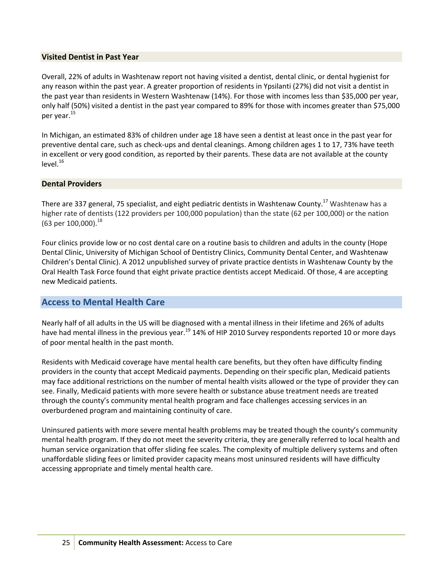#### **Visited Dentist in Past Year**

Overall, 22% of adults in Washtenaw report not having visited a dentist, dental clinic, or dental hygienist for any reason within the past year. A greater proportion of residents in Ypsilanti (27%) did not visit a dentist in the past year than residents in Western Washtenaw (14%). For those with incomes less than \$35,000 per year, only half (50%) visited a dentist in the past year compared to 89% for those with incomes greater than \$75,000 per year.<sup>15</sup>

In Michigan, an estimated 83% of children under age 18 have seen a dentist at least once in the past year for preventive dental care, such as check‐ups and dental cleanings. Among children ages 1 to 17, 73% have teeth in excellent or very good condition, as reported by their parents. These data are not available at the county  $level.<sup>16</sup>$ 

#### **Dental Providers**

There are 337 general, 75 specialist, and eight pediatric dentists in Washtenaw County.<sup>17</sup> Washtenaw has a higher rate of dentists (122 providers per 100,000 population) than the state (62 per 100,000) or the nation (63 per 100,000).<sup>18</sup>

Four clinics provide low or no cost dental care on a routine basis to children and adults in the county (Hope Dental Clinic, University of Michigan School of Dentistry Clinics, Community Dental Center, and Washtenaw Children's Dental Clinic). A 2012 unpublished survey of private practice dentists in Washtenaw County by the Oral Health Task Force found that eight private practice dentists accept Medicaid. Of those, 4 are accepting new Medicaid patients.

#### **Access to Mental Health Care**

Nearly half of all adults in the US will be diagnosed with a mental illness in their lifetime and 26% of adults have had mental illness in the previous year.<sup>19</sup> 14% of HIP 2010 Survey respondents reported 10 or more days of poor mental health in the past month.

Residents with Medicaid coverage have mental health care benefits, but they often have difficulty finding providers in the county that accept Medicaid payments. Depending on their specific plan, Medicaid patients may face additional restrictions on the number of mental health visits allowed or the type of provider they can see. Finally, Medicaid patients with more severe health or substance abuse treatment needs are treated through the county's community mental health program and face challenges accessing services in an overburdened program and maintaining continuity of care.

Uninsured patients with more severe mental health problems may be treated though the county's community mental health program. If they do not meet the severity criteria, they are generally referred to local health and human service organization that offer sliding fee scales. The complexity of multiple delivery systems and often unaffordable sliding fees or limited provider capacity means most uninsured residents will have difficulty accessing appropriate and timely mental health care.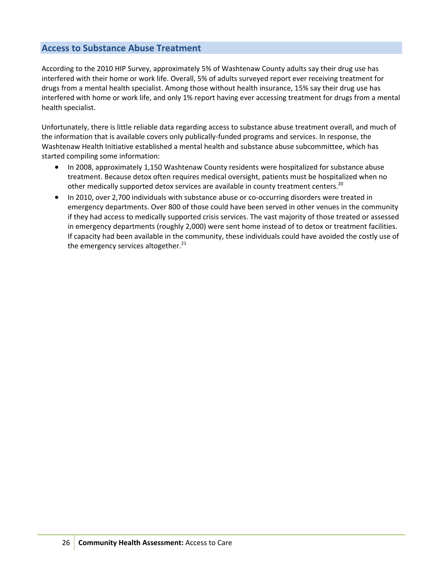# **Access to Substance Abuse Treatment**

According to the 2010 HIP Survey, approximately 5% of Washtenaw County adults say their drug use has interfered with their home or work life. Overall, 5% of adults surveyed report ever receiving treatment for drugs from a mental health specialist. Among those without health insurance, 15% say their drug use has interfered with home or work life, and only 1% report having ever accessing treatment for drugs from a mental health specialist.

Unfortunately, there is little reliable data regarding access to substance abuse treatment overall, and much of the information that is available covers only publically‐funded programs and services. In response, the Washtenaw Health Initiative established a mental health and substance abuse subcommittee, which has started compiling some information:

- In 2008, approximately 1,150 Washtenaw County residents were hospitalized for substance abuse treatment. Because detox often requires medical oversight, patients must be hospitalized when no other medically supported detox services are available in county treatment centers.<sup>20</sup>
- In 2010, over 2,700 individuals with substance abuse or co-occurring disorders were treated in emergency departments. Over 800 of those could have been served in other venues in the community if they had access to medically supported crisis services. The vast majority of those treated or assessed in emergency departments (roughly 2,000) were sent home instead of to detox or treatment facilities. If capacity had been available in the community, these individuals could have avoided the costly use of the emergency services altogether. $^{21}$